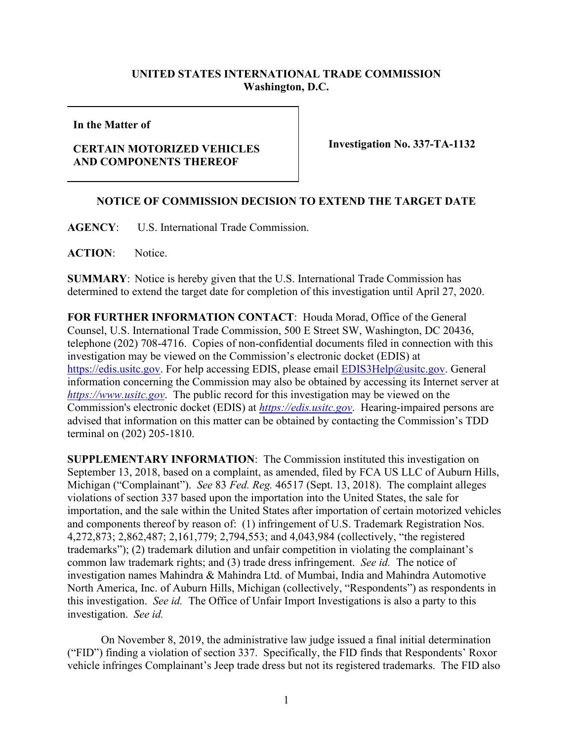## **UNITED STATES INTERNATIONAL TRADE COMMISSION Washington, D.C.**

**In the Matter of**

## **CERTAIN MOTORIZED VEHICLES AND COMPONENTS THEREOF**

**Investigation No. 337-TA-1132**

## **NOTICE OF COMMISSION DECISION TO EXTEND THE TARGET DATE**

**AGENCY**: U.S. International Trade Commission.

**ACTION**: Notice.

**SUMMARY**: Notice is hereby given that the U.S. International Trade Commission has determined to extend the target date for completion of this investigation until April 27, 2020.

**FOR FURTHER INFORMATION CONTACT**: Houda Morad, Office of the General Counsel, U.S. International Trade Commission, 500 E Street SW, Washington, DC 20436, telephone (202) 708-4716. Copies of non-confidential documents filed in connection with this investigation may be viewed on the Commission's electronic docket (EDIS) at [https://edis.usitc.gov.](https://edis.usitc.gov/) For help accessing EDIS, please email [EDIS3Help@usitc.gov.](mailto:EDIS3Help@usitc.gov) General information concerning the Commission may also be obtained by accessing its Internet server at *[https://www.usitc.gov](https://www.usitc.gov/)*. The public record for this investigation may be viewed on the Commission's electronic docket (EDIS) at *[https://edis.usitc.gov](https://edis.usitc.gov/)*. Hearing-impaired persons are advised that information on this matter can be obtained by contacting the Commission's TDD terminal on (202) 205-1810.

**SUPPLEMENTARY INFORMATION**: The Commission instituted this investigation on September 13, 2018, based on a complaint, as amended, filed by FCA US LLC of Auburn Hills, Michigan ("Complainant"). *See* 83 *Fed. Reg.* 46517 (Sept. 13, 2018). The complaint alleges violations of section 337 based upon the importation into the United States, the sale for importation, and the sale within the United States after importation of certain motorized vehicles and components thereof by reason of: (1) infringement of U.S. Trademark Registration Nos. 4,272,873; 2,862,487; 2,161,779; 2,794,553; and 4,043,984 (collectively, "the registered trademarks"); (2) trademark dilution and unfair competition in violating the complainant's common law trademark rights; and (3) trade dress infringement. *See id.* The notice of investigation names Mahindra & Mahindra Ltd. of Mumbai, India and Mahindra Automotive North America, Inc. of Auburn Hills, Michigan (collectively, "Respondents") as respondents in this investigation. *See id.* The Office of Unfair Import Investigations is also a party to this investigation. *See id.* 

On November 8, 2019, the administrative law judge issued a final initial determination ("FID") finding a violation of section 337. Specifically, the FID finds that Respondents' Roxor vehicle infringes Complainant's Jeep trade dress but not its registered trademarks. The FID also